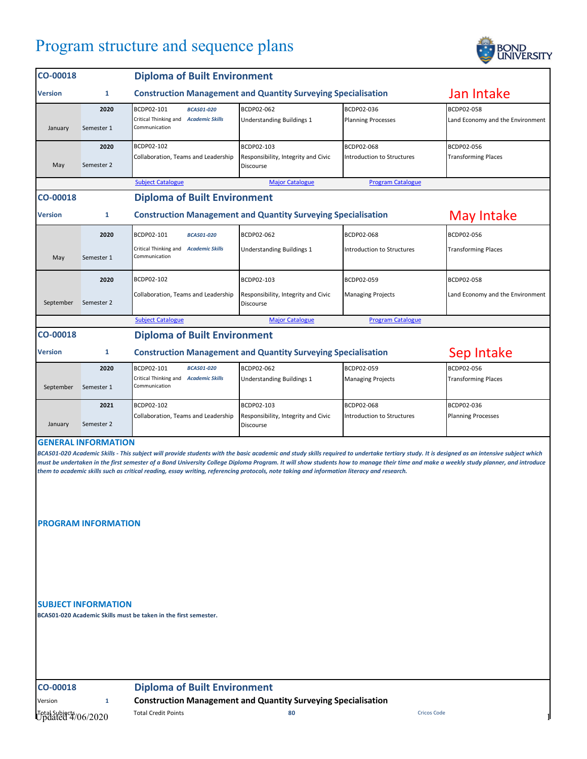## Program structure and sequence plans



| CO-00018                                                                                                                                                                                                                                                                                                                           |                            | <b>Diploma of Built Environment</b>                                                |                                                  |                            |                                  |  |  |
|------------------------------------------------------------------------------------------------------------------------------------------------------------------------------------------------------------------------------------------------------------------------------------------------------------------------------------|----------------------------|------------------------------------------------------------------------------------|--------------------------------------------------|----------------------------|----------------------------------|--|--|
| <b>Version</b>                                                                                                                                                                                                                                                                                                                     | 1                          | <b>Construction Management and Quantity Surveying Specialisation</b>               |                                                  |                            | Jan Intake                       |  |  |
|                                                                                                                                                                                                                                                                                                                                    | 2020                       | BCDP02-101<br><b>BCAS01-020</b>                                                    | BCDP02-062                                       | BCDP02-036                 | BCDP02-058                       |  |  |
| January                                                                                                                                                                                                                                                                                                                            | Semester 1                 | Critical Thinking and Academic Skills<br>Communication                             | <b>Understanding Buildings 1</b>                 | <b>Planning Processes</b>  | Land Economy and the Environment |  |  |
|                                                                                                                                                                                                                                                                                                                                    | 2020                       | BCDP02-102                                                                         | BCDP02-103                                       | BCDP02-068                 | BCDP02-056                       |  |  |
| May                                                                                                                                                                                                                                                                                                                                | Semester 2                 | Collaboration, Teams and Leadership                                                | Responsibility, Integrity and Civic<br>Discourse | Introduction to Structures | <b>Transforming Places</b>       |  |  |
|                                                                                                                                                                                                                                                                                                                                    |                            | <b>Subject Catalogue</b>                                                           | <b>Major Catalogue</b>                           | <b>Program Catalogue</b>   |                                  |  |  |
| CO-00018<br><b>Diploma of Built Environment</b>                                                                                                                                                                                                                                                                                    |                            |                                                                                    |                                                  |                            |                                  |  |  |
| <b>Version</b>                                                                                                                                                                                                                                                                                                                     | 1                          | May Intake<br><b>Construction Management and Quantity Surveying Specialisation</b> |                                                  |                            |                                  |  |  |
|                                                                                                                                                                                                                                                                                                                                    | 2020                       | BCDP02-101<br><b>BCAS01-020</b>                                                    | BCDP02-062                                       | BCDP02-068                 | BCDP02-056                       |  |  |
|                                                                                                                                                                                                                                                                                                                                    |                            | Critical Thinking and Academic Skills                                              | Understanding Buildings 1                        | Introduction to Structures | <b>Transforming Places</b>       |  |  |
| May                                                                                                                                                                                                                                                                                                                                | Semester 1                 | Communication                                                                      |                                                  |                            |                                  |  |  |
|                                                                                                                                                                                                                                                                                                                                    | 2020                       | BCDP02-102                                                                         | BCDP02-103                                       | BCDP02-059                 | BCDP02-058                       |  |  |
| September                                                                                                                                                                                                                                                                                                                          | Semester 2                 | Collaboration, Teams and Leadership                                                | Responsibility, Integrity and Civic<br>Discourse | <b>Managing Projects</b>   | Land Economy and the Environment |  |  |
|                                                                                                                                                                                                                                                                                                                                    |                            | <b>Subject Catalogue</b>                                                           | <b>Major Catalogue</b>                           | <b>Program Catalogue</b>   |                                  |  |  |
| <b>Diploma of Built Environment</b><br>CO-00018                                                                                                                                                                                                                                                                                    |                            |                                                                                    |                                                  |                            |                                  |  |  |
| <b>Version</b>                                                                                                                                                                                                                                                                                                                     | 1                          | Sep Intake<br><b>Construction Management and Quantity Surveying Specialisation</b> |                                                  |                            |                                  |  |  |
|                                                                                                                                                                                                                                                                                                                                    | 2020                       | BCDP02-101<br><b>BCAS01-020</b>                                                    | BCDP02-062                                       | BCDP02-059                 | BCDP02-056                       |  |  |
| September                                                                                                                                                                                                                                                                                                                          | Semester 1                 | Critical Thinking and Academic Skills<br>Communication                             | Understanding Buildings 1                        | <b>Managing Projects</b>   | <b>Transforming Places</b>       |  |  |
|                                                                                                                                                                                                                                                                                                                                    | 2021                       | BCDP02-102                                                                         | BCDP02-103                                       | <b>BCDP02-068</b>          | BCDP02-036                       |  |  |
| January                                                                                                                                                                                                                                                                                                                            | Semester 2                 | Collaboration, Teams and Leadership                                                | Responsibility, Integrity and Civic<br>Discourse | Introduction to Structures | <b>Planning Processes</b>        |  |  |
|                                                                                                                                                                                                                                                                                                                                    | <b>GENERAL INFORMATION</b> |                                                                                    |                                                  |                            |                                  |  |  |
| BCAS01-020 Academic Skills - This subject will provide students with the basic academic and study skills required to undertake tertiary study. It is designed as an intensive subject which                                                                                                                                        |                            |                                                                                    |                                                  |                            |                                  |  |  |
| must be undertaken in the first semester of a Bond University College Diploma Program. It will show students how to manage their time and make a weekly study planner, and introduce<br>them to academic skills such as critical reading, essay writing, referencing protocols, note taking and information literacy and research. |                            |                                                                                    |                                                  |                            |                                  |  |  |

**PROGRAM INFORMATION**

**SUBJECT INFORMATION**

**BCAS01-020 Academic Skills must be taken in the first semester.**

**CO-00018 Diploma of Built Environment**

## Version **1 Construction Management and Quantity Surveying Specialisation**

Total Subjects Total Credit Points **80** Cricos Code Updated 4/06/2020 1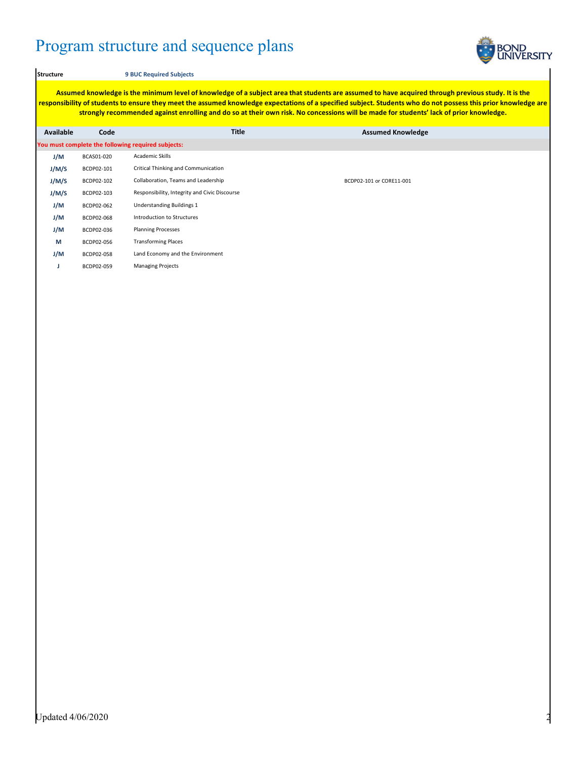## Program structure and sequence plans



## **Structure 9 BUC Required Subjects**

**Assumed knowledge is the minimum level of knowledge of a subject area that students are assumed to have acquired through previous study. It is the responsibility of students to ensure they meet the assumed knowledge expectations of a specified subject. Students who do not possess this prior knowledge are strongly recommended against enrolling and do so at their own risk. No concessions will be made for students' lack of prior knowledge.**

| <b>Available</b>                                   | Code       | <b>Title</b>                                  | <b>Assumed Knowledge</b> |  |  |  |  |  |
|----------------------------------------------------|------------|-----------------------------------------------|--------------------------|--|--|--|--|--|
| You must complete the following required subjects: |            |                                               |                          |  |  |  |  |  |
| J/M                                                | BCAS01-020 | Academic Skills                               |                          |  |  |  |  |  |
| J/M/S                                              | BCDP02-101 | Critical Thinking and Communication           |                          |  |  |  |  |  |
| J/M/S                                              | BCDP02-102 | Collaboration, Teams and Leadership           | BCDP02-101 or CORE11-001 |  |  |  |  |  |
| J/M/S                                              | BCDP02-103 | Responsibility, Integrity and Civic Discourse |                          |  |  |  |  |  |
| J/M                                                | BCDP02-062 | Understanding Buildings 1                     |                          |  |  |  |  |  |
| J/M                                                | BCDP02-068 | Introduction to Structures                    |                          |  |  |  |  |  |
| J/M                                                | BCDP02-036 | <b>Planning Processes</b>                     |                          |  |  |  |  |  |
| M                                                  | BCDP02-056 | <b>Transforming Places</b>                    |                          |  |  |  |  |  |
| J/M                                                | BCDP02-058 | Land Economy and the Environment              |                          |  |  |  |  |  |
| u                                                  | BCDP02-059 | <b>Managing Projects</b>                      |                          |  |  |  |  |  |